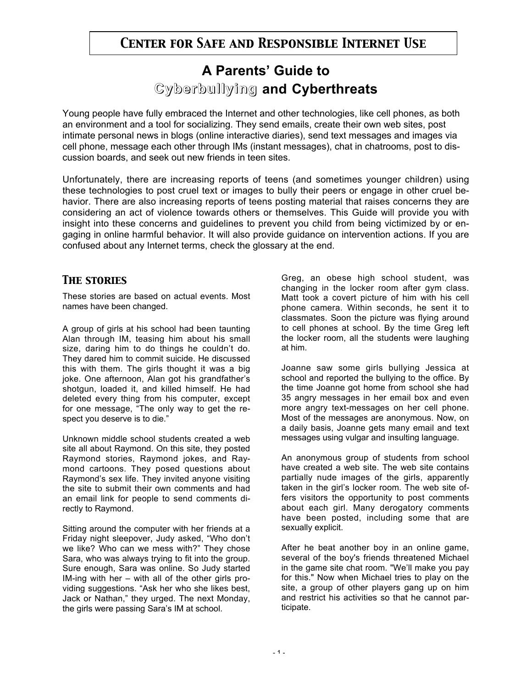# **A Parents' Guide to Cyberbullying Cyberbullying and Cyberthreats**

Young people have fully embraced the Internet and other technologies, like cell phones, as both an environment and a tool for socializing. They send emails, create their own web sites, post intimate personal news in blogs (online interactive diaries), send text messages and images via cell phone, message each other through IMs (instant messages), chat in chatrooms, post to discussion boards, and seek out new friends in teen sites.

Unfortunately, there are increasing reports of teens (and sometimes younger children) using these technologies to post cruel text or images to bully their peers or engage in other cruel behavior. There are also increasing reports of teens posting material that raises concerns they are considering an act of violence towards others or themselves. This Guide will provide you with insight into these concerns and guidelines to prevent you child from being victimized by or engaging in online harmful behavior. It will also provide guidance on intervention actions. If you are confused about any Internet terms, check the glossary at the end.

## *The stories*

These stories are based on actual events. Most names have been changed.

A group of girls at his school had been taunting Alan through IM, teasing him about his small size, daring him to do things he couldn't do. They dared him to commit suicide. He discussed this with them. The girls thought it was a big joke. One afternoon, Alan got his grandfather's shotgun, loaded it, and killed himself. He had deleted every thing from his computer, except for one message, "The only way to get the respect you deserve is to die."

Unknown middle school students created a web site all about Raymond. On this site, they posted Raymond stories, Raymond jokes, and Raymond cartoons. They posed questions about Raymond's sex life. They invited anyone visiting the site to submit their own comments and had an email link for people to send comments directly to Raymond.

Sitting around the computer with her friends at a Friday night sleepover, Judy asked, "Who don't we like? Who can we mess with?" They chose Sara, who was always trying to fit into the group. Sure enough, Sara was online. So Judy started IM-ing with her – with all of the other girls providing suggestions. "Ask her who she likes best, Jack or Nathan," they urged. The next Monday, the girls were passing Sara's IM at school.

Greg, an obese high school student, was changing in the locker room after gym class. Matt took a covert picture of him with his cell phone camera. Within seconds, he sent it to classmates. Soon the picture was flying around to cell phones at school. By the time Greg left the locker room, all the students were laughing at him.

Joanne saw some girls bullying Jessica at school and reported the bullying to the office. By the time Joanne got home from school she had 35 angry messages in her email box and even more angry text-messages on her cell phone. Most of the messages are anonymous. Now, on a daily basis, Joanne gets many email and text messages using vulgar and insulting language.

An anonymous group of students from school have created a web site. The web site contains partially nude images of the girls, apparently taken in the girl's locker room. The web site offers visitors the opportunity to post comments about each girl. Many derogatory comments have been posted, including some that are sexually explicit.

After he beat another boy in an online game, several of the boy's friends threatened Michael in the game site chat room. "We'll make you pay for this." Now when Michael tries to play on the site, a group of other players gang up on him and restrict his activities so that he cannot participate.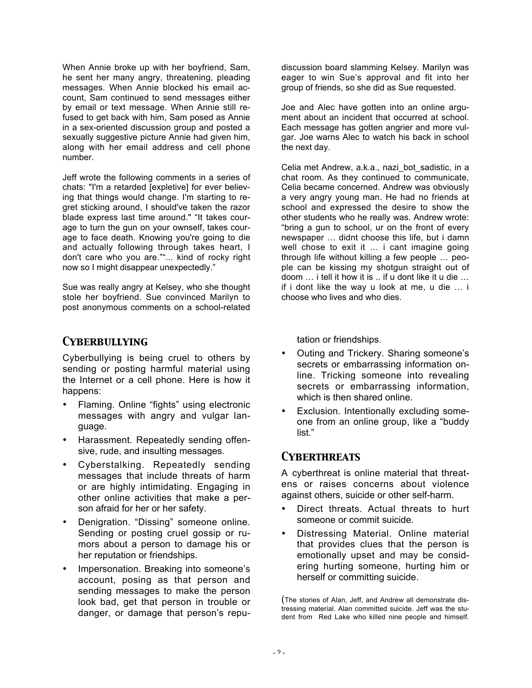When Annie broke up with her boyfriend, Sam, he sent her many angry, threatening, pleading messages. When Annie blocked his email account, Sam continued to send messages either by email or text message. When Annie still refused to get back with him, Sam posed as Annie in a sex-oriented discussion group and posted a sexually suggestive picture Annie had given him, along with her email address and cell phone number.

Jeff wrote the following comments in a series of chats: "I'm a retarded [expletive] for ever believing that things would change. I'm starting to regret sticking around, I should've taken the razor blade express last time around." "It takes courage to turn the gun on your ownself, takes courage to face death. Knowing you're going to die and actually following through takes heart, I don't care who you are.""... kind of rocky right now so I might disappear unexpectedly."

Sue was really angry at Kelsey, who she thought stole her boyfriend. Sue convinced Marilyn to post anonymous comments on a school-related

## *Cyberbullying*

Cyberbullying is being cruel to others by sending or posting harmful material using the Internet or a cell phone. Here is how it happens:

- Flaming. Online "fights" using electronic messages with angry and vulgar language.
- Harassment. Repeatedly sending offensive, rude, and insulting messages.
- Cyberstalking. Repeatedly sending messages that include threats of harm or are highly intimidating. Engaging in other online activities that make a person afraid for her or her safety.
- Denigration. "Dissing" someone online. Sending or posting cruel gossip or rumors about a person to damage his or her reputation or friendships.
- Impersonation. Breaking into someone's account, posing as that person and sending messages to make the person look bad, get that person in trouble or danger, or damage that person's repu-

discussion board slamming Kelsey. Marilyn was eager to win Sue's approval and fit into her group of friends, so she did as Sue requested.

Joe and Alec have gotten into an online argument about an incident that occurred at school. Each message has gotten angrier and more vulgar. Joe warns Alec to watch his back in school the next day.

Celia met Andrew, a.k.a., nazi bot sadistic, in a chat room. As they continued to communicate, Celia became concerned. Andrew was obviously a very angry young man. He had no friends at school and expressed the desire to show the other students who he really was. Andrew wrote: "bring a gun to school, ur on the front of every newspaper … didnt choose this life, but i damn well chose to exit it … i cant imagine going through life without killing a few people … people can be kissing my shotgun straight out of doom … i tell it how it is .. if u dont like it u die … if i dont like the way u look at me, u die … i choose who lives and who dies.

tation or friendships.

- Outing and Trickery. Sharing someone's secrets or embarrassing information online. Tricking someone into revealing secrets or embarrassing information, which is then shared online.
- Exclusion. Intentionally excluding someone from an online group, like a "buddy list."

## *Cyberthreats*

A cyberthreat is online material that threatens or raises concerns about violence against others, suicide or other self-harm.

- Direct threats. Actual threats to hurt someone or commit suicide.
- Distressing Material. Online material that provides clues that the person is emotionally upset and may be considering hurting someone, hurting him or herself or committing suicide.

(The stories of Alan, Jeff, and Andrew all demonstrate distressing material. Alan committed suicide. Jeff was the student from Red Lake who killed nine people and himself.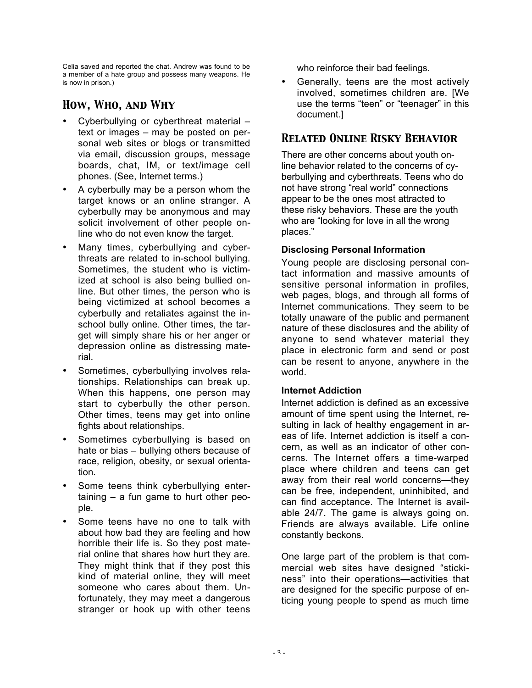Celia saved and reported the chat. Andrew was found to be a member of a hate group and possess many weapons. He is now in prison.)

## *How, Who, and Why*

- Cyberbullying or cyberthreat material text or images – may be posted on personal web sites or blogs or transmitted via email, discussion groups, message boards, chat, IM, or text/image cell phones. (See, Internet terms.)
- A cyberbully may be a person whom the target knows or an online stranger. A cyberbully may be anonymous and may solicit involvement of other people online who do not even know the target.
- Many times, cyberbullying and cyberthreats are related to in-school bullying. Sometimes, the student who is victimized at school is also being bullied online. But other times, the person who is being victimized at school becomes a cyberbully and retaliates against the inschool bully online. Other times, the target will simply share his or her anger or depression online as distressing material.
- Sometimes, cyberbullying involves relationships. Relationships can break up. When this happens, one person may start to cyberbully the other person. Other times, teens may get into online fights about relationships.
- Sometimes cyberbullying is based on hate or bias – bullying others because of race, religion, obesity, or sexual orientation.
- Some teens think cyberbullying entertaining – a fun game to hurt other people.
- Some teens have no one to talk with about how bad they are feeling and how horrible their life is. So they post material online that shares how hurt they are. They might think that if they post this kind of material online, they will meet someone who cares about them. Unfortunately, they may meet a dangerous stranger or hook up with other teens

who reinforce their bad feelings.

• Generally, teens are the most actively involved, sometimes children are. [We use the terms "teen" or "teenager" in this document.]

## *Related Online Risky Behavior*

There are other concerns about youth online behavior related to the concerns of cyberbullying and cyberthreats. Teens who do not have strong "real world" connections appear to be the ones most attracted to these risky behaviors. These are the youth who are "looking for love in all the wrong places."

## **Disclosing Personal Information**

Young people are disclosing personal contact information and massive amounts of sensitive personal information in profiles. web pages, blogs, and through all forms of Internet communications. They seem to be totally unaware of the public and permanent nature of these disclosures and the ability of anyone to send whatever material they place in electronic form and send or post can be resent to anyone, anywhere in the world.

#### **Internet Addiction**

Internet addiction is defined as an excessive amount of time spent using the Internet, resulting in lack of healthy engagement in areas of life. Internet addiction is itself a concern, as well as an indicator of other concerns. The Internet offers a time-warped place where children and teens can get away from their real world concerns—they can be free, independent, uninhibited, and can find acceptance. The Internet is available 24/7. The game is always going on. Friends are always available. Life online constantly beckons.

One large part of the problem is that commercial web sites have designed "stickiness" into their operations—activities that are designed for the specific purpose of enticing young people to spend as much time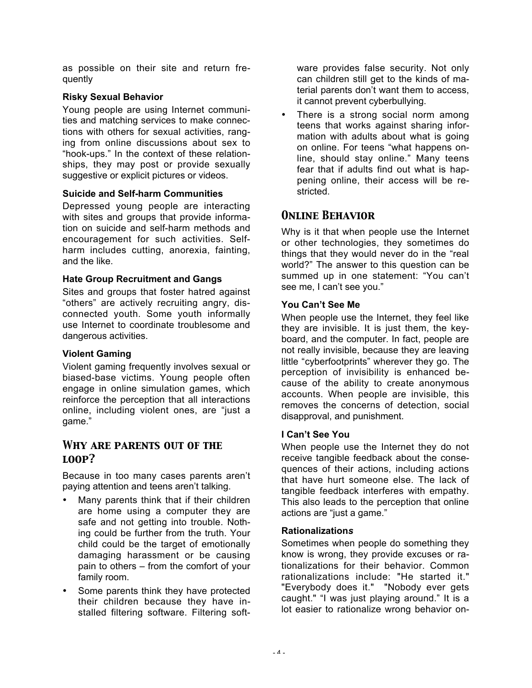as possible on their site and return frequently

### **Risky Sexual Behavior**

Young people are using Internet communities and matching services to make connections with others for sexual activities, ranging from online discussions about sex to "hook-ups." In the context of these relationships, they may post or provide sexually suggestive or explicit pictures or videos.

### **Suicide and Self-harm Communities**

Depressed young people are interacting with sites and groups that provide information on suicide and self-harm methods and encouragement for such activities. Selfharm includes cutting, anorexia, fainting, and the like.

### **Hate Group Recruitment and Gangs**

Sites and groups that foster hatred against "others" are actively recruiting angry, disconnected youth. Some youth informally use Internet to coordinate troublesome and dangerous activities.

### **Violent Gaming**

Violent gaming frequently involves sexual or biased-base victims. Young people often engage in online simulation games, which reinforce the perception that all interactions online, including violent ones, are "just a game."

## *Why are parents out of the loop?*

Because in too many cases parents aren't paying attention and teens aren't talking.

- Many parents think that if their children are home using a computer they are safe and not getting into trouble. Nothing could be further from the truth. Your child could be the target of emotionally damaging harassment or be causing pain to others – from the comfort of your family room.
- Some parents think they have protected their children because they have installed filtering software. Filtering soft-

ware provides false security. Not only can children still get to the kinds of material parents don't want them to access, it cannot prevent cyberbullying.

There is a strong social norm among teens that works against sharing information with adults about what is going on online. For teens "what happens online, should stay online." Many teens fear that if adults find out what is happening online, their access will be restricted.

## *Online Behavior*

Why is it that when people use the Internet or other technologies, they sometimes do things that they would never do in the "real world?" The answer to this question can be summed up in one statement: "You can't see me, I can't see you."

### **You Can't See Me**

When people use the Internet, they feel like they are invisible. It is just them, the keyboard, and the computer. In fact, people are not really invisible, because they are leaving little "cyberfootprints" wherever they go. The perception of invisibility is enhanced because of the ability to create anonymous accounts. When people are invisible, this removes the concerns of detection, social disapproval, and punishment.

## **I Can't See You**

When people use the Internet they do not receive tangible feedback about the consequences of their actions, including actions that have hurt someone else. The lack of tangible feedback interferes with empathy. This also leads to the perception that online actions are "just a game."

### **Rationalization***s*

Sometimes when people do something they know is wrong, they provide excuses or rationalizations for their behavior. Common rationalizations include: "He started it." "Everybody does it." "Nobody ever gets caught." "I was just playing around." It is a lot easier to rationalize wrong behavior on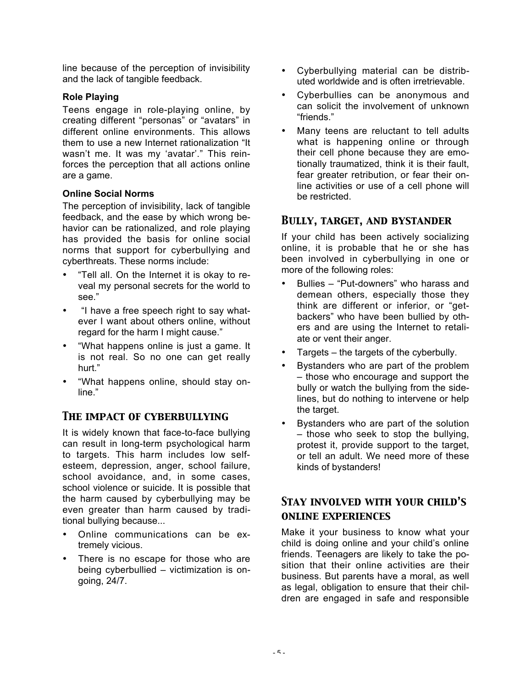line because of the perception of invisibility and the lack of tangible feedback.

### **Role Playing**

Teens engage in role-playing online, by creating different "personas" or "avatars" in different online environments. This allows them to use a new Internet rationalization "It wasn't me. It was my 'avatar'." This reinforces the perception that all actions online are a game.

### **Online Social Norms**

The perception of invisibility, lack of tangible feedback, and the ease by which wrong behavior can be rationalized, and role playing has provided the basis for online social norms that support for cyberbullying and cyberthreats. These norms include:

- "Tell all. On the Internet it is okay to reveal my personal secrets for the world to see."
- "I have a free speech right to say whatever I want about others online, without regard for the harm I might cause."
- "What happens online is just a game. It is not real. So no one can get really hurt."
- "What happens online, should stay online."

## *The impact of cyberbullying*

It is widely known that face-to-face bullying can result in long-term psychological harm to targets. This harm includes low selfesteem, depression, anger, school failure, school avoidance, and, in some cases, school violence or suicide. It is possible that the harm caused by cyberbullying may be even greater than harm caused by traditional bullying because...

- Online communications can be extremely vicious.
- There is no escape for those who are being cyberbullied – victimization is ongoing, 24/7.
- Cyberbullying material can be distributed worldwide and is often irretrievable.
- Cyberbullies can be anonymous and can solicit the involvement of unknown "friends."
- Many teens are reluctant to tell adults what is happening online or through their cell phone because they are emotionally traumatized, think it is their fault, fear greater retribution, or fear their online activities or use of a cell phone will be restricted.

## *Bully, target, and bystander*

If your child has been actively socializing online, it is probable that he or she has been involved in cyberbullying in one or more of the following roles:

- Bullies "Put-downers" who harass and demean others, especially those they think are different or inferior, or "getbackers" who have been bullied by others and are using the Internet to retaliate or vent their anger.
- Targets the targets of the cyberbully.
- Bystanders who are part of the problem – those who encourage and support the bully or watch the bullying from the sidelines, but do nothing to intervene or help the target.
- Bystanders who are part of the solution – those who seek to stop the bullying, protest it, provide support to the target, or tell an adult. We need more of these kinds of bystanders!

## *Stay involved with your child's online experiences*

Make it your business to know what your child is doing online and your child's online friends. Teenagers are likely to take the position that their online activities are their business. But parents have a moral, as well as legal, obligation to ensure that their children are engaged in safe and responsible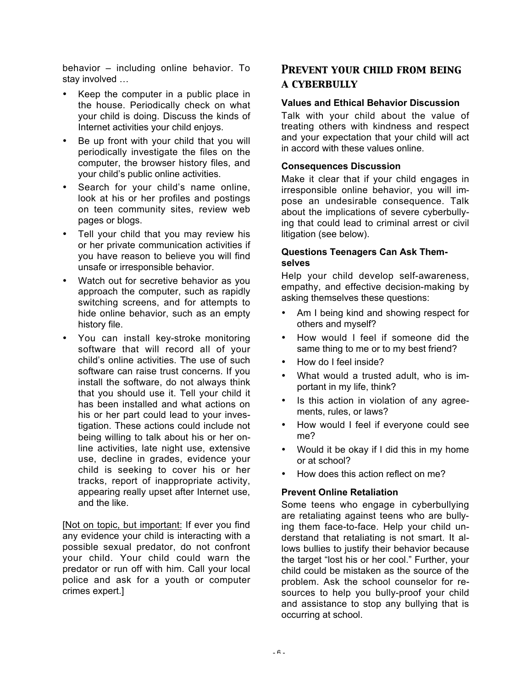behavior – including online behavior. To stay involved …

- Keep the computer in a public place in the house. Periodically check on what your child is doing. Discuss the kinds of Internet activities your child enjoys.
- Be up front with your child that you will periodically investigate the files on the computer, the browser history files, and your child's public online activities.
- Search for your child's name online, look at his or her profiles and postings on teen community sites, review web pages or blogs.
- Tell your child that you may review his or her private communication activities if you have reason to believe you will find unsafe or irresponsible behavior.
- Watch out for secretive behavior as you approach the computer, such as rapidly switching screens, and for attempts to hide online behavior, such as an empty history file.
- You can install key-stroke monitoring software that will record all of your child's online activities. The use of such software can raise trust concerns. If you install the software, do not always think that you should use it. Tell your child it has been installed and what actions on his or her part could lead to your investigation. These actions could include not being willing to talk about his or her online activities, late night use, extensive use, decline in grades, evidence your child is seeking to cover his or her tracks, report of inappropriate activity, appearing really upset after Internet use, and the like.

[Not on topic, but important: If ever you find any evidence your child is interacting with a possible sexual predator, do not confront your child. Your child could warn the predator or run off with him. Call your local police and ask for a youth or computer crimes expert.]

## *Prevent your child from being a cyberbully*

### **Values and Ethical Behavior Discussion**

Talk with your child about the value of treating others with kindness and respect and your expectation that your child will act in accord with these values online.

#### **Consequences Discussion**

Make it clear that if your child engages in irresponsible online behavior, you will impose an undesirable consequence. Talk about the implications of severe cyberbullying that could lead to criminal arrest or civil litigation (see below).

### **Questions Teenagers Can Ask Themselves**

Help your child develop self-awareness, empathy, and effective decision-making by asking themselves these questions:

- Am I being kind and showing respect for others and myself?
- How would I feel if someone did the same thing to me or to my best friend?
- How do I feel inside?
- What would a trusted adult, who is important in my life, think?
- Is this action in violation of any agreements, rules, or laws?
- How would I feel if everyone could see me?
- Would it be okay if I did this in my home or at school?
- How does this action reflect on me?

### **Prevent Online Retaliation**

Some teens who engage in cyberbullying are retaliating against teens who are bullying them face-to-face. Help your child understand that retaliating is not smart. It allows bullies to justify their behavior because the target "lost his or her cool." Further, your child could be mistaken as the source of the problem. Ask the school counselor for resources to help you bully-proof your child and assistance to stop any bullying that is occurring at school.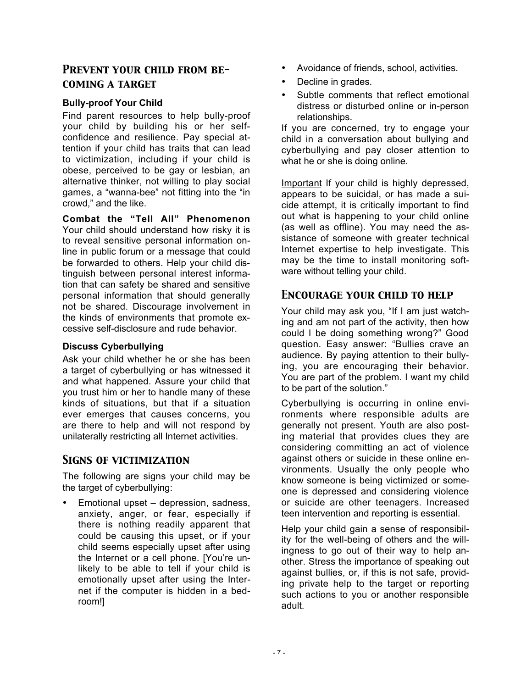## *Prevent your child from becoming a target*

### **Bully-proof Your Child**

Find parent resources to help bully-proof your child by building his or her selfconfidence and resilience. Pay special attention if your child has traits that can lead to victimization, including if your child is obese, perceived to be gay or lesbian, an alternative thinker, not willing to play social games, a "wanna-bee" not fitting into the "in crowd," and the like.

**Combat the "Tell All" Phenomenon** Your child should understand how risky it is to reveal sensitive personal information online in public forum or a message that could be forwarded to others. Help your child distinguish between personal interest information that can safety be shared and sensitive personal information that should generally not be shared. Discourage involvement in the kinds of environments that promote excessive self-disclosure and rude behavior.

### **Discuss Cyberbullying**

Ask your child whether he or she has been a target of cyberbullying or has witnessed it and what happened. Assure your child that you trust him or her to handle many of these kinds of situations, but that if a situation ever emerges that causes concerns, you are there to help and will not respond by unilaterally restricting all Internet activities.

## *Signs of victimization*

The following are signs your child may be the target of cyberbullying:

• Emotional upset – depression, sadness, anxiety, anger, or fear, especially if there is nothing readily apparent that could be causing this upset, or if your child seems especially upset after using the Internet or a cell phone. [You're unlikely to be able to tell if your child is emotionally upset after using the Internet if the computer is hidden in a bedroom!]

- Avoidance of friends, school, activities.
- Decline in grades.
- Subtle comments that reflect emotional distress or disturbed online or in-person relationships.

If you are concerned, try to engage your child in a conversation about bullying and cyberbullying and pay closer attention to what he or she is doing online.

Important If your child is highly depressed, appears to be suicidal, or has made a suicide attempt, it is critically important to find out what is happening to your child online (as well as offline). You may need the assistance of someone with greater technical Internet expertise to help investigate. This may be the time to install monitoring software without telling your child.

## *Encourage your child to help*

Your child may ask you, "If I am just watching and am not part of the activity, then how could I be doing something wrong?" Good question. Easy answer: "Bullies crave an audience. By paying attention to their bullying, you are encouraging their behavior. You are part of the problem. I want my child to be part of the solution."

Cyberbullying is occurring in online environments where responsible adults are generally not present. Youth are also posting material that provides clues they are considering committing an act of violence against others or suicide in these online environments. Usually the only people who know someone is being victimized or someone is depressed and considering violence or suicide are other teenagers. Increased teen intervention and reporting is essential.

Help your child gain a sense of responsibility for the well-being of others and the willingness to go out of their way to help another. Stress the importance of speaking out against bullies, or, if this is not safe, providing private help to the target or reporting such actions to you or another responsible adult.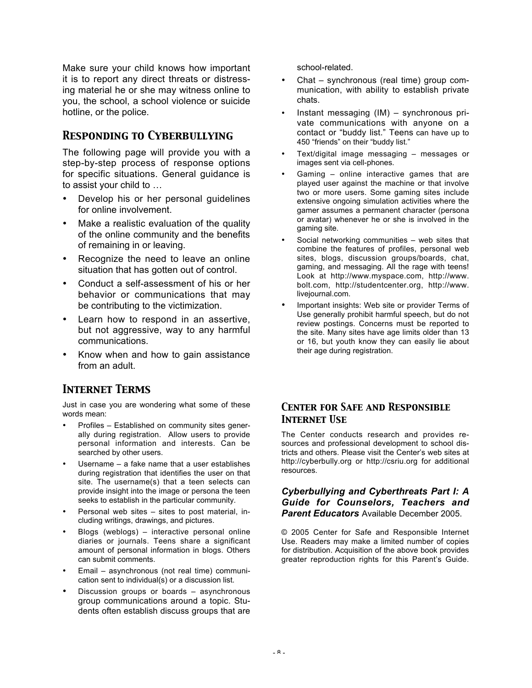Make sure your child knows how important it is to report any direct threats or distressing material he or she may witness online to you, the school, a school violence or suicide hotline, or the police.

## *Responding to Cyberbullying*

The following page will provide you with a step-by-step process of response options for specific situations. General guidance is to assist your child to …

- Develop his or her personal guidelines for online involvement.
- Make a realistic evaluation of the quality of the online community and the benefits of remaining in or leaving.
- Recognize the need to leave an online situation that has gotten out of control.
- Conduct a self-assessment of his or her behavior or communications that may be contributing to the victimization.
- Learn how to respond in an assertive, but not aggressive, way to any harmful communications.
- Know when and how to gain assistance from an adult.

## *Internet Terms*

Just in case you are wondering what some of these words mean:

- Profiles Established on community sites generally during registration. Allow users to provide personal information and interests. Can be searched by other users.
- Username a fake name that a user establishes during registration that identifies the user on that site. The username(s) that a teen selects can provide insight into the image or persona the teen seeks to establish in the particular community.
- Personal web sites sites to post material, including writings, drawings, and pictures.
- Blogs (weblogs) interactive personal online diaries or journals. Teens share a significant amount of personal information in blogs. Others can submit comments.
- Email asynchronous (not real time) communication sent to individual(s) or a discussion list.
- Discussion groups or boards asynchronous group communications around a topic. Students often establish discuss groups that are

school-related.

- Chat synchronous (real time) group communication, with ability to establish private chats.
- Instant messaging (IM) synchronous private communications with anyone on a contact or "buddy list." Teens can have up to 450 "friends" on their "buddy list."
- Text/digital image messaging messages or images sent via cell-phones.
- Gaming  $-$  online interactive games that are played user against the machine or that involve two or more users. Some gaming sites include extensive ongoing simulation activities where the gamer assumes a permanent character (persona or avatar) whenever he or she is involved in the gaming site.
- Social networking communities web sites that combine the features of profiles, personal web sites, blogs, discussion groups/boards, chat, gaming, and messaging. All the rage with teens! Look at http://www.myspace.com, http://www. bolt.com, http://studentcenter.org, http://www. livejournal.com.
- Important insights: Web site or provider Terms of Use generally prohibit harmful speech, but do not review postings. Concerns must be reported to the site. Many sites have age limits older than 13 or 16, but youth know they can easily lie about their age during registration.

## *Center for Safe and Responsible Internet Use*

The Center conducts research and provides resources and professional development to school districts and others. Please visit the Center's web sites at http://cyberbully.org or http://csriu.org for additional resources.

#### *Cyberbullying and Cyberthreats Part I: A Guide for Counselors, Teachers and Parent Educators* Available December 2005.

© 2005 Center for Safe and Responsible Internet Use. Readers may make a limited number of copies for distribution. Acquisition of the above book provides greater reproduction rights for this Parent's Guide.